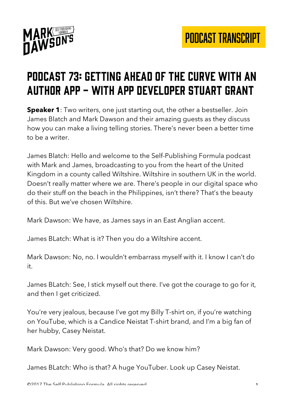

## Podcast 73: getting ahead of the curve with an author app - with app developer stuart grant

**Speaker 1**: Two writers, one just starting out, the other a bestseller. Join James Blatch and Mark Dawson and their amazing guests as they discuss how you can make a living telling stories. There's never been a better time to be a writer.

James Blatch: Hello and welcome to the Self-Publishing Formula podcast with Mark and James, broadcasting to you from the heart of the United Kingdom in a county called Wiltshire. Wiltshire in southern UK in the world. Doesn't really matter where we are. There's people in our digital space who do their stuff on the beach in the Philippines, isn't there? That's the beauty of this. But we've chosen Wiltshire.

Mark Dawson: We have, as James says in an East Anglian accent.

James BLatch: What is it? Then you do a Wiltshire accent.

Mark Dawson: No, no. I wouldn't embarrass myself with it. I know I can't do it.

James BLatch: See, I stick myself out there. I've got the courage to go for it, and then I get criticized.

You're very jealous, because I've got my Billy T-shirt on, if you're watching on YouTube, which is a Candice Neistat T-shirt brand, and I'm a big fan of her hubby, Casey Neistat.

Mark Dawson: Very good. Who's that? Do we know him?

James BLatch: Who is that? A huge YouTuber. Look up Casey Neistat.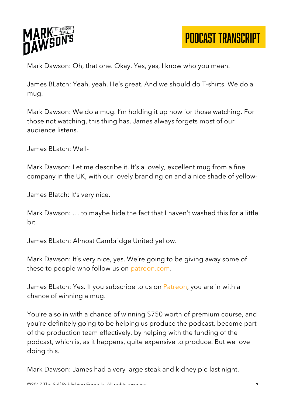

Mark Dawson: Oh, that one. Okay. Yes, yes, I know who you mean.

James BLatch: Yeah, yeah. He's great. And we should do T-shirts. We do a mug.

Mark Dawson: We do a mug. I'm holding it up now for those watching. For those not watching, this thing has, James always forgets most of our audience listens.

James BLatch: Well-

Mark Dawson: Let me describe it. It's a lovely, excellent mug from a fine company in the UK, with our lovely branding on and a nice shade of yellow-

James Blatch: It's very nice.

Mark Dawson: … to maybe hide the fact that I haven't washed this for a little bit.

James BLatch: Almost Cambridge United yellow.

Mark Dawson: It's very nice, yes. We're going to be giving away some of these to people who follow us on patreon.com.

James BLatch: Yes. If you subscribe to us on Patreon, you are in with a chance of winning a mug.

You're also in with a chance of winning \$750 worth of premium course, and you're definitely going to be helping us produce the podcast, become part of the production team effectively, by helping with the funding of the podcast, which is, as it happens, quite expensive to produce. But we love doing this.

Mark Dawson: James had a very large steak and kidney pie last night.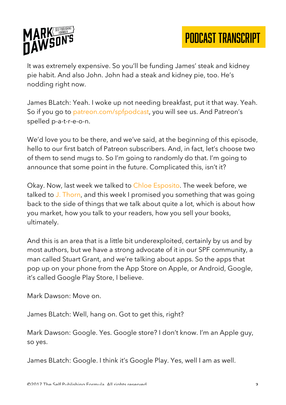

It was extremely expensive. So you'll be funding James' steak and kidney pie habit. And also John. John had a steak and kidney pie, too. He's nodding right now.

James BLatch: Yeah. I woke up not needing breakfast, put it that way. Yeah. So if you go to patreon.com/spfpodcast, you will see us. And Patreon's spelled p-a-t-r-e-o-n.

We'd love you to be there, and we've said, at the beginning of this episode, hello to our first batch of Patreon subscribers. And, in fact, let's choose two of them to send mugs to. So I'm going to randomly do that. I'm going to announce that some point in the future. Complicated this, isn't it?

Okay. Now, last week we talked to Chloe Esposito. The week before, we talked to J. Thorn, and this week I promised you something that was going back to the side of things that we talk about quite a lot, which is about how you market, how you talk to your readers, how you sell your books, ultimately.

And this is an area that is a little bit underexploited, certainly by us and by most authors, but we have a strong advocate of it in our SPF community, a man called Stuart Grant, and we're talking about apps. So the apps that pop up on your phone from the App Store on Apple, or Android, Google, it's called Google Play Store, I believe.

Mark Dawson: Move on.

James BLatch: Well, hang on. Got to get this, right?

Mark Dawson: Google. Yes. Google store? I don't know. I'm an Apple guy, so yes.

James BLatch: Google. I think it's Google Play. Yes, well I am as well.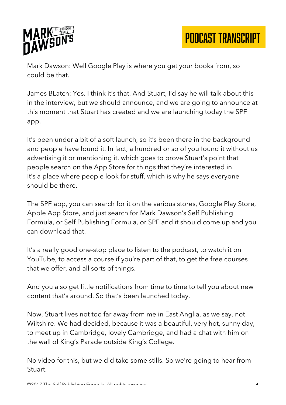

Mark Dawson: Well Google Play is where you get your books from, so could be that.

James BLatch: Yes. I think it's that. And Stuart, I'd say he will talk about this in the interview, but we should announce, and we are going to announce at this moment that Stuart has created and we are launching today the SPF app.

It's been under a bit of a soft launch, so it's been there in the background and people have found it. In fact, a hundred or so of you found it without us advertising it or mentioning it, which goes to prove Stuart's point that people search on the App Store for things that they're interested in. It's a place where people look for stuff, which is why he says everyone should be there.

The SPF app, you can search for it on the various stores, Google Play Store, Apple App Store, and just search for Mark Dawson's Self Publishing Formula, or Self Publishing Formula, or SPF and it should come up and you can download that.

It's a really good one-stop place to listen to the podcast, to watch it on YouTube, to access a course if you're part of that, to get the free courses that we offer, and all sorts of things.

And you also get little notifications from time to time to tell you about new content that's around. So that's been launched today.

Now, Stuart lives not too far away from me in East Anglia, as we say, not Wiltshire. We had decided, because it was a beautiful, very hot, sunny day, to meet up in Cambridge, lovely Cambridge, and had a chat with him on the wall of King's Parade outside King's College.

No video for this, but we did take some stills. So we're going to hear from Stuart.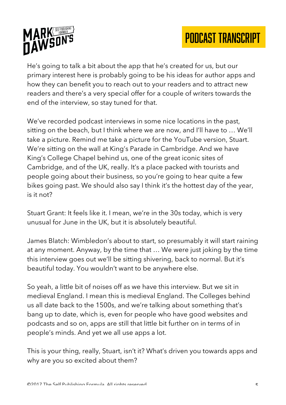



He's going to talk a bit about the app that he's created for us, but our primary interest here is probably going to be his ideas for author apps and how they can benefit you to reach out to your readers and to attract new readers and there's a very special offer for a couple of writers towards the end of the interview, so stay tuned for that.

We've recorded podcast interviews in some nice locations in the past, sitting on the beach, but I think where we are now, and I'll have to … We'll take a picture. Remind me take a picture for the YouTube version, Stuart. We're sitting on the wall at King's Parade in Cambridge. And we have King's College Chapel behind us, one of the great iconic sites of Cambridge, and of the UK, really. It's a place packed with tourists and people going about their business, so you're going to hear quite a few bikes going past. We should also say I think it's the hottest day of the year, is it not?

Stuart Grant: It feels like it. I mean, we're in the 30s today, which is very unusual for June in the UK, but it is absolutely beautiful.

James Blatch: Wimbledon's about to start, so presumably it will start raining at any moment. Anyway, by the time that … We were just joking by the time this interview goes out we'll be sitting shivering, back to normal. But it's beautiful today. You wouldn't want to be anywhere else.

So yeah, a little bit of noises off as we have this interview. But we sit in medieval England. I mean this is medieval England. The Colleges behind us all date back to the 1500s, and we're talking about something that's bang up to date, which is, even for people who have good websites and podcasts and so on, apps are still that little bit further on in terms of in people's minds. And yet we all use apps a lot.

This is your thing, really, Stuart, isn't it? What's driven you towards apps and why are you so excited about them?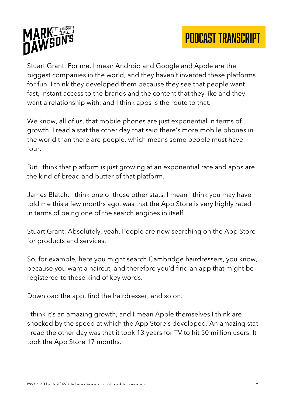



Stuart Grant: For me, I mean Android and Google and Apple are the biggest companies in the world, and they haven't invented these platforms for fun. I think they developed them because they see that people want fast, instant access to the brands and the content that they like and they want a relationship with, and I think apps is the route to that.

We know, all of us, that mobile phones are just exponential in terms of growth. I read a stat the other day that said there's more mobile phones in the world than there are people, which means some people must have four.

But I think that platform is just growing at an exponential rate and apps are the kind of bread and butter of that platform.

James Blatch: I think one of those other stats, I mean I think you may have told me this a few months ago, was that the App Store is very highly rated in terms of being one of the search engines in itself.

Stuart Grant: Absolutely, yeah. People are now searching on the App Store for products and services.

So, for example, here you might search Cambridge hairdressers, you know, because you want a haircut, and therefore you'd find an app that might be registered to those kind of key words.

Download the app, find the hairdresser, and so on.

I think it's an amazing growth, and I mean Apple themselves I think are shocked by the speed at which the App Store's developed. An amazing stat I read the other day was that it took 13 years for TV to hit 50 million users. It took the App Store 17 months.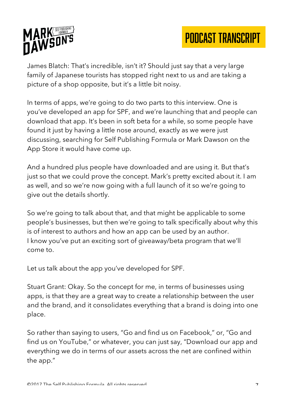



James Blatch: That's incredible, isn't it? Should just say that a very large family of Japanese tourists has stopped right next to us and are taking a picture of a shop opposite, but it's a little bit noisy.

In terms of apps, we're going to do two parts to this interview. One is you've developed an app for SPF, and we're launching that and people can download that app. It's been in soft beta for a while, so some people have found it just by having a little nose around, exactly as we were just discussing, searching for Self Publishing Formula or Mark Dawson on the App Store it would have come up.

And a hundred plus people have downloaded and are using it. But that's just so that we could prove the concept. Mark's pretty excited about it. I am as well, and so we're now going with a full launch of it so we're going to give out the details shortly.

So we're going to talk about that, and that might be applicable to some people's businesses, but then we're going to talk specifically about why this is of interest to authors and how an app can be used by an author. I know you've put an exciting sort of giveaway/beta program that we'll come to.

Let us talk about the app you've developed for SPF.

Stuart Grant: Okay. So the concept for me, in terms of businesses using apps, is that they are a great way to create a relationship between the user and the brand, and it consolidates everything that a brand is doing into one place.

So rather than saying to users, "Go and find us on Facebook," or, "Go and find us on YouTube," or whatever, you can just say, "Download our app and everything we do in terms of our assets across the net are confined within the app."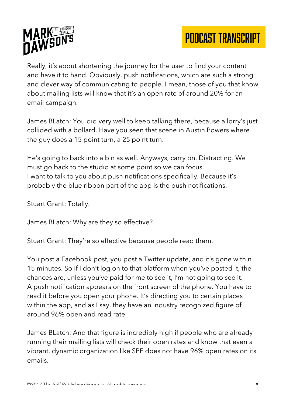

Really, it's about shortening the journey for the user to find your content and have it to hand. Obviously, push notifications, which are such a strong and clever way of communicating to people. I mean, those of you that know about mailing lists will know that it's an open rate of around 20% for an email campaign.

James BLatch: You did very well to keep talking there, because a lorry's just collided with a bollard. Have you seen that scene in Austin Powers where the guy does a 15 point turn, a 25 point turn.

He's going to back into a bin as well. Anyways, carry on. Distracting. We must go back to the studio at some point so we can focus. I want to talk to you about push notifications specifically. Because it's probably the blue ribbon part of the app is the push notifications.

Stuart Grant: Totally.

James BLatch: Why are they so effective?

Stuart Grant: They're so effective because people read them.

You post a Facebook post, you post a Twitter update, and it's gone within 15 minutes. So if I don't log on to that platform when you've posted it, the chances are, unless you've paid for me to see it, I'm not going to see it. A push notification appears on the front screen of the phone. You have to read it before you open your phone. It's directing you to certain places within the app, and as I say, they have an industry recognized figure of around 96% open and read rate.

James BLatch: And that figure is incredibly high if people who are already running their mailing lists will check their open rates and know that even a vibrant, dynamic organization like SPF does not have 96% open rates on its emails.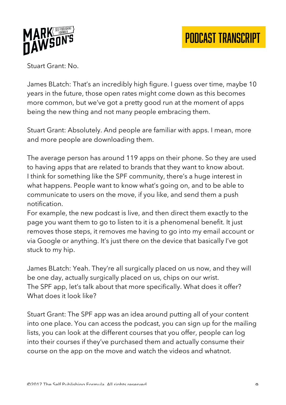

Stuart Grant: No.

James BLatch: That's an incredibly high figure. I guess over time, maybe 10 years in the future, those open rates might come down as this becomes more common, but we've got a pretty good run at the moment of apps being the new thing and not many people embracing them.

Stuart Grant: Absolutely. And people are familiar with apps. I mean, more and more people are downloading them.

The average person has around 119 apps on their phone. So they are used to having apps that are related to brands that they want to know about. I think for something like the SPF community, there's a huge interest in what happens. People want to know what's going on, and to be able to communicate to users on the move, if you like, and send them a push notification.

For example, the new podcast is live, and then direct them exactly to the page you want them to go to listen to it is a phenomenal benefit. It just removes those steps, it removes me having to go into my email account or via Google or anything. It's just there on the device that basically I've got stuck to my hip.

James BLatch: Yeah. They're all surgically placed on us now, and they will be one day, actually surgically placed on us, chips on our wrist. The SPF app, let's talk about that more specifically. What does it offer? What does it look like?

Stuart Grant: The SPF app was an idea around putting all of your content into one place. You can access the podcast, you can sign up for the mailing lists, you can look at the different courses that you offer, people can log into their courses if they've purchased them and actually consume their course on the app on the move and watch the videos and whatnot.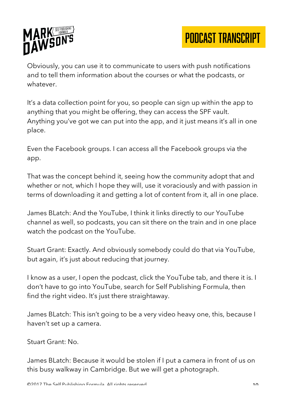

Obviously, you can use it to communicate to users with push notifications and to tell them information about the courses or what the podcasts, or whatever.

It's a data collection point for you, so people can sign up within the app to anything that you might be offering, they can access the SPF vault. Anything you've got we can put into the app, and it just means it's all in one place.

Even the Facebook groups. I can access all the Facebook groups via the app.

That was the concept behind it, seeing how the community adopt that and whether or not, which I hope they will, use it voraciously and with passion in terms of downloading it and getting a lot of content from it, all in one place.

James BLatch: And the YouTube, I think it links directly to our YouTube channel as well, so podcasts, you can sit there on the train and in one place watch the podcast on the YouTube.

Stuart Grant: Exactly. And obviously somebody could do that via YouTube, but again, it's just about reducing that journey.

I know as a user, I open the podcast, click the YouTube tab, and there it is. I don't have to go into YouTube, search for Self Publishing Formula, then find the right video. It's just there straightaway.

James BLatch: This isn't going to be a very video heavy one, this, because I haven't set up a camera.

Stuart Grant: No.

James BLatch: Because it would be stolen if I put a camera in front of us on this busy walkway in Cambridge. But we will get a photograph.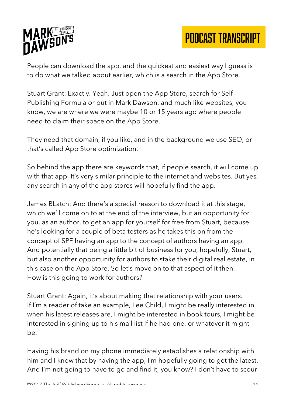

People can download the app, and the quickest and easiest way I guess is to do what we talked about earlier, which is a search in the App Store.

Stuart Grant: Exactly. Yeah. Just open the App Store, search for Self Publishing Formula or put in Mark Dawson, and much like websites, you know, we are where we were maybe 10 or 15 years ago where people need to claim their space on the App Store.

They need that domain, if you like, and in the background we use SEO, or that's called App Store optimization.

So behind the app there are keywords that, if people search, it will come up with that app. It's very similar principle to the internet and websites. But yes, any search in any of the app stores will hopefully find the app.

James BLatch: And there's a special reason to download it at this stage, which we'll come on to at the end of the interview, but an opportunity for you, as an author, to get an app for yourself for free from Stuart, because he's looking for a couple of beta testers as he takes this on from the concept of SPF having an app to the concept of authors having an app. And potentially that being a little bit of business for you, hopefully, Stuart, but also another opportunity for authors to stake their digital real estate, in this case on the App Store. So let's move on to that aspect of it then. How is this going to work for authors?

Stuart Grant: Again, it's about making that relationship with your users. If I'm a reader of take an example, Lee Child, I might be really interested in when his latest releases are, I might be interested in book tours, I might be interested in signing up to his mail list if he had one, or whatever it might be.

Having his brand on my phone immediately establishes a relationship with him and I know that by having the app, I'm hopefully going to get the latest. And I'm not going to have to go and find it, you know? I don't have to scour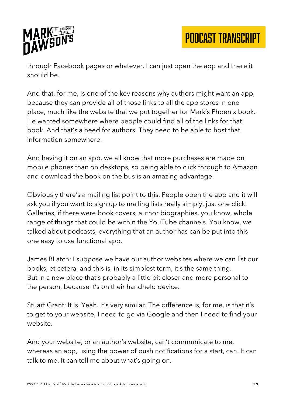

through Facebook pages or whatever. I can just open the app and there it should be.

And that, for me, is one of the key reasons why authors might want an app, because they can provide all of those links to all the app stores in one place, much like the website that we put together for Mark's Phoenix book. He wanted somewhere where people could find all of the links for that book. And that's a need for authors. They need to be able to host that information somewhere.

And having it on an app, we all know that more purchases are made on mobile phones than on desktops, so being able to click through to Amazon and download the book on the bus is an amazing advantage.

Obviously there's a mailing list point to this. People open the app and it will ask you if you want to sign up to mailing lists really simply, just one click. Galleries, if there were book covers, author biographies, you know, whole range of things that could be within the YouTube channels. You know, we talked about podcasts, everything that an author has can be put into this one easy to use functional app.

James BLatch: I suppose we have our author websites where we can list our books, et cetera, and this is, in its simplest term, it's the same thing. But in a new place that's probably a little bit closer and more personal to the person, because it's on their handheld device.

Stuart Grant: It is. Yeah. It's very similar. The difference is, for me, is that it's to get to your website, I need to go via Google and then I need to find your website.

And your website, or an author's website, can't communicate to me, whereas an app, using the power of push notifications for a start, can. It can talk to me. It can tell me about what's going on.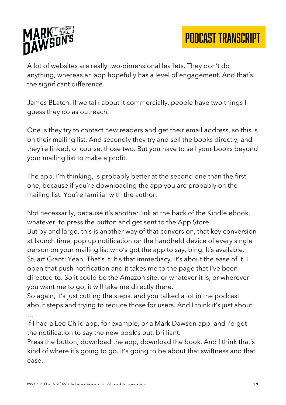

A lot of websites are really two-dimensional leaflets. They don't do anything, whereas an app hopefully has a level of engagement. And that's the significant difference.

James BLatch: If we talk about it commercially, people have two things I guess they do as outreach.

One is they try to contact new readers and get their email address, so this is on their mailing list. And secondly they try and sell the books directly, and they're linked, of course, those two. But you have to sell your books beyond your mailing list to make a profit.

The app, I'm thinking, is probably better at the second one than the first one, because if you're downloading the app you are probably on the mailing list. You're familiar with the author.

Not necessarily, because it's another link at the back of the Kindle ebook, whatever, to press the button and get sent to the App Store. But by and large, this is another way of that conversion, that key conversion at launch time, pop up notification on the handheld device of every single person on your mailing list who's got the app to say, bing. It's available. Stuart Grant: Yeah. That's it. It's that immediacy. It's about the ease of it. I open that push notification and it takes me to the page that I've been directed to. So it could be the Amazon site, or whatever it is, or wherever you want me to go, it will take me directly there.

So again, it's just cutting the steps, and you talked a lot in the podcast about steps and trying to reduce those for users. And I think it's just about …

If I had a Lee Child app, for example, or a Mark Dawson app, and I'd got the notification to say the new book's out, brilliant.

Press the button, download the app, download the book. And I think that's kind of where it's going to go. It's going to be about that swiftness and that ease.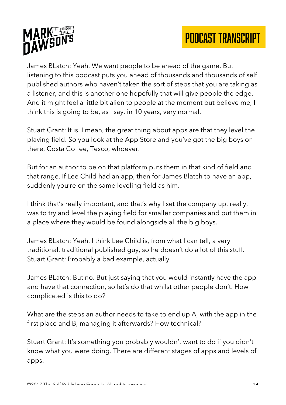



James BLatch: Yeah. We want people to be ahead of the game. But listening to this podcast puts you ahead of thousands and thousands of self published authors who haven't taken the sort of steps that you are taking as a listener, and this is another one hopefully that will give people the edge. And it might feel a little bit alien to people at the moment but believe me, I think this is going to be, as I say, in 10 years, very normal.

Stuart Grant: It is. I mean, the great thing about apps are that they level the playing field. So you look at the App Store and you've got the big boys on there, Costa Coffee, Tesco, whoever.

But for an author to be on that platform puts them in that kind of field and that range. If Lee Child had an app, then for James Blatch to have an app, suddenly you're on the same leveling field as him.

I think that's really important, and that's why I set the company up, really, was to try and level the playing field for smaller companies and put them in a place where they would be found alongside all the big boys.

James BLatch: Yeah. I think Lee Child is, from what I can tell, a very traditional, traditional published guy, so he doesn't do a lot of this stuff. Stuart Grant: Probably a bad example, actually.

James BLatch: But no. But just saying that you would instantly have the app and have that connection, so let's do that whilst other people don't. How complicated is this to do?

What are the steps an author needs to take to end up A, with the app in the first place and B, managing it afterwards? How technical?

Stuart Grant: It's something you probably wouldn't want to do if you didn't know what you were doing. There are different stages of apps and levels of apps.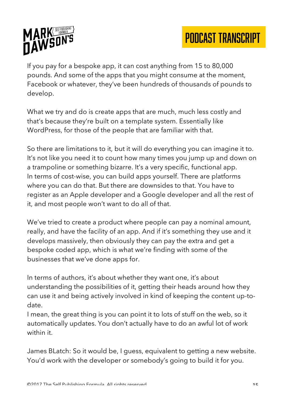

If you pay for a bespoke app, it can cost anything from 15 to 80,000 pounds. And some of the apps that you might consume at the moment, Facebook or whatever, they've been hundreds of thousands of pounds to develop.

What we try and do is create apps that are much, much less costly and that's because they're built on a template system. Essentially like WordPress, for those of the people that are familiar with that.

So there are limitations to it, but it will do everything you can imagine it to. It's not like you need it to count how many times you jump up and down on a trampoline or something bizarre. It's a very specific, functional app. In terms of cost-wise, you can build apps yourself. There are platforms where you can do that. But there are downsides to that. You have to register as an Apple developer and a Google developer and all the rest of it, and most people won't want to do all of that.

We've tried to create a product where people can pay a nominal amount, really, and have the facility of an app. And if it's something they use and it develops massively, then obviously they can pay the extra and get a bespoke coded app, which is what we're finding with some of the businesses that we've done apps for.

In terms of authors, it's about whether they want one, it's about understanding the possibilities of it, getting their heads around how they can use it and being actively involved in kind of keeping the content up-todate.

I mean, the great thing is you can point it to lots of stuff on the web, so it automatically updates. You don't actually have to do an awful lot of work within it.

James BLatch: So it would be, I guess, equivalent to getting a new website. You'd work with the developer or somebody's going to build it for you.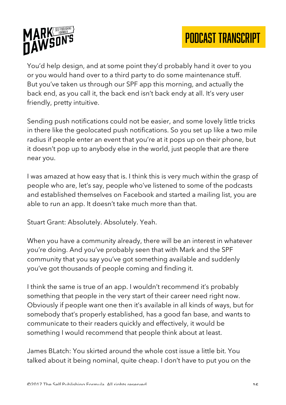

You'd help design, and at some point they'd probably hand it over to you or you would hand over to a third party to do some maintenance stuff. But you've taken us through our SPF app this morning, and actually the back end, as you call it, the back end isn't back endy at all. It's very user friendly, pretty intuitive.

Sending push notifications could not be easier, and some lovely little tricks in there like the geolocated push notifications. So you set up like a two mile radius if people enter an event that you're at it pops up on their phone, but it doesn't pop up to anybody else in the world, just people that are there near you.

I was amazed at how easy that is. I think this is very much within the grasp of people who are, let's say, people who've listened to some of the podcasts and established themselves on Facebook and started a mailing list, you are able to run an app. It doesn't take much more than that.

Stuart Grant: Absolutely. Absolutely. Yeah.

When you have a community already, there will be an interest in whatever you're doing. And you've probably seen that with Mark and the SPF community that you say you've got something available and suddenly you've got thousands of people coming and finding it.

I think the same is true of an app. I wouldn't recommend it's probably something that people in the very start of their career need right now. Obviously if people want one then it's available in all kinds of ways, but for somebody that's properly established, has a good fan base, and wants to communicate to their readers quickly and effectively, it would be something I would recommend that people think about at least.

James BLatch: You skirted around the whole cost issue a little bit. You talked about it being nominal, quite cheap. I don't have to put you on the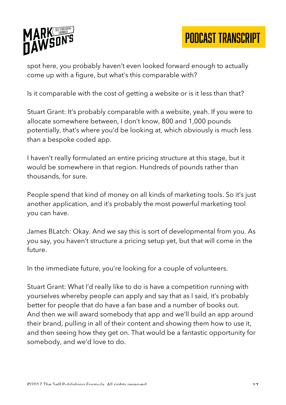

spot here, you probably haven't even looked forward enough to actually come up with a figure, but what's this comparable with?

Is it comparable with the cost of getting a website or is it less than that?

Stuart Grant: It's probably comparable with a website, yeah. If you were to allocate somewhere between, I don't know, 800 and 1,000 pounds potentially, that's where you'd be looking at, which obviously is much less than a bespoke coded app.

I haven't really formulated an entire pricing structure at this stage, but it would be somewhere in that region. Hundreds of pounds rather than thousands, for sure.

People spend that kind of money on all kinds of marketing tools. So it's just another application, and it's probably the most powerful marketing tool you can have.

James BLatch: Okay. And we say this is sort of developmental from you. As you say, you haven't structure a pricing setup yet, but that will come in the future.

In the immediate future, you're looking for a couple of volunteers.

Stuart Grant: What I'd really like to do is have a competition running with yourselves whereby people can apply and say that as I said, it's probably better for people that do have a fan base and a number of books out. And then we will award somebody that app and we'll build an app around their brand, pulling in all of their content and showing them how to use it, and then seeing how they get on. That would be a fantastic opportunity for somebody, and we'd love to do.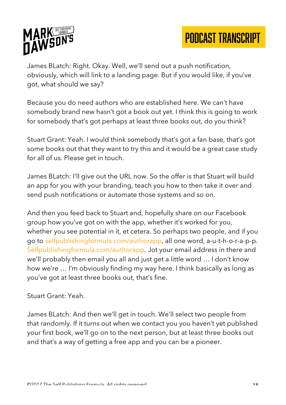

James BLatch: Right. Okay. Well, we'll send out a push notification, obviously, which will link to a landing page. But if you would like, if you've got, what should we say?

Because you do need authors who are established here. We can't have somebody brand new hasn't got a book out yet. I think this is going to work for somebody that's got perhaps at least three books out, do you think?

Stuart Grant: Yeah. I would think somebody that's got a fan base, that's got some books out that they want to try this and it would be a great case study for all of us. Please get in touch.

James BLatch: I'll give out the URL now. So the offer is that Stuart will build an app for you with your branding, teach you how to then take it over and send push notifications or automate those systems and so on.

And then you feed back to Stuart and, hopefully share on our Facebook group how you've got on with the app, whether it's worked for you, whether you see potential in it, et cetera. So perhaps two people, and if you go to selfpublishingformula.com/authorapp, all one word, a-u-t-h-o-r-a-p-p. Selfpublishingformula.com/authorapp. Jot your email address in there and we'll probably then email you all and just get a little word … I don't know how we're … I'm obviously finding my way here. I think basically as long as you've got at least three books out, that's fine.

Stuart Grant: Yeah.

James BLatch: And then we'll get in touch. We'll select two people from that randomly. If it turns out when we contact you you haven't yet published your first book, we'll go on to the next person, but at least three books out and that's a way of getting a free app and you can be a pioneer.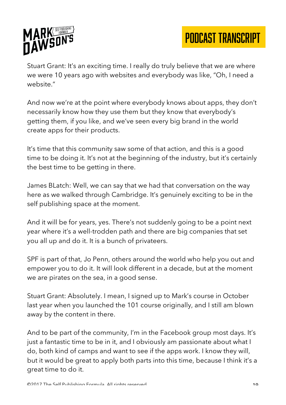

Stuart Grant: It's an exciting time. I really do truly believe that we are where we were 10 years ago with websites and everybody was like, "Oh, I need a website."

And now we're at the point where everybody knows about apps, they don't necessarily know how they use them but they know that everybody's getting them, if you like, and we've seen every big brand in the world create apps for their products.

It's time that this community saw some of that action, and this is a good time to be doing it. It's not at the beginning of the industry, but it's certainly the best time to be getting in there.

James BLatch: Well, we can say that we had that conversation on the way here as we walked through Cambridge. It's genuinely exciting to be in the self publishing space at the moment.

And it will be for years, yes. There's not suddenly going to be a point next year where it's a well-trodden path and there are big companies that set you all up and do it. It is a bunch of privateers.

SPF is part of that, Jo Penn, others around the world who help you out and empower you to do it. It will look different in a decade, but at the moment we are pirates on the sea, in a good sense.

Stuart Grant: Absolutely. I mean, I signed up to Mark's course in October last year when you launched the 101 course originally, and I still am blown away by the content in there.

And to be part of the community, I'm in the Facebook group most days. It's just a fantastic time to be in it, and I obviously am passionate about what I do, both kind of camps and want to see if the apps work. I know they will, but it would be great to apply both parts into this time, because I think it's a great time to do it.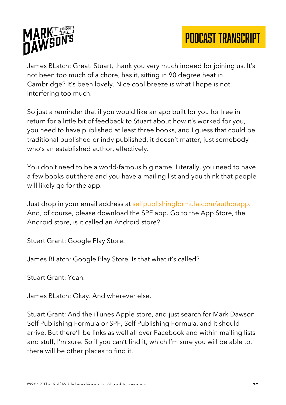

James BLatch: Great. Stuart, thank you very much indeed for joining us. It's not been too much of a chore, has it, sitting in 90 degree heat in Cambridge? It's been lovely. Nice cool breeze is what I hope is not interfering too much.

So just a reminder that if you would like an app built for you for free in return for a little bit of feedback to Stuart about how it's worked for you, you need to have published at least three books, and I guess that could be traditional published or indy published, it doesn't matter, just somebody who's an established author, effectively.

You don't need to be a world-famous big name. Literally, you need to have a few books out there and you have a mailing list and you think that people will likely go for the app.

Just drop in your email address at selfpublishingformula.com/authorapp. And, of course, please download the SPF app. Go to the App Store, the Android store, is it called an Android store?

Stuart Grant: Google Play Store.

James BLatch: Google Play Store. Is that what it's called?

Stuart Grant: Yeah.

James BLatch: Okay. And wherever else.

Stuart Grant: And the iTunes Apple store, and just search for Mark Dawson Self Publishing Formula or SPF, Self Publishing Formula, and it should arrive. But there'll be links as well all over Facebook and within mailing lists and stuff, I'm sure. So if you can't find it, which I'm sure you will be able to, there will be other places to find it.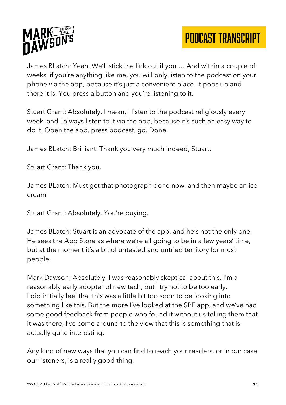

James BLatch: Yeah. We'll stick the link out if you … And within a couple of weeks, if you're anything like me, you will only listen to the podcast on your phone via the app, because it's just a convenient place. It pops up and there it is. You press a button and you're listening to it.

Stuart Grant: Absolutely. I mean, I listen to the podcast religiously every week, and I always listen to it via the app, because it's such an easy way to do it. Open the app, press podcast, go. Done.

James BLatch: Brilliant. Thank you very much indeed, Stuart.

Stuart Grant: Thank you.

James BLatch: Must get that photograph done now, and then maybe an ice cream.

Stuart Grant: Absolutely. You're buying.

James BLatch: Stuart is an advocate of the app, and he's not the only one. He sees the App Store as where we're all going to be in a few years' time, but at the moment it's a bit of untested and untried territory for most people.

Mark Dawson: Absolutely. I was reasonably skeptical about this. I'm a reasonably early adopter of new tech, but I try not to be too early. I did initially feel that this was a little bit too soon to be looking into something like this. But the more I've looked at the SPF app, and we've had some good feedback from people who found it without us telling them that it was there, I've come around to the view that this is something that is actually quite interesting.

Any kind of new ways that you can find to reach your readers, or in our case our listeners, is a really good thing.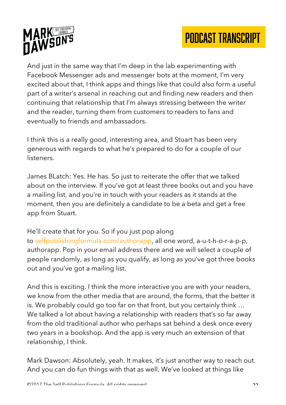



And just in the same way that I'm deep in the lab experimenting with Facebook Messenger ads and messenger bots at the moment, I'm very excited about that, I think apps and things like that could also form a useful part of a writer's arsenal in reaching out and finding new readers and then continuing that relationship that I'm always stressing between the writer and the reader, turning them from customers to readers to fans and eventually to friends and ambassadors.

I think this is a really good, interesting area, and Stuart has been very generous with regards to what he's prepared to do for a couple of our listeners.

James BLatch: Yes. He has. So just to reiterate the offer that we talked about on the interview. If you've got at least three books out and you have a mailing list, and you're in touch with your readers as it stands at the moment, then you are definitely a candidate to be a beta and get a free app from Stuart.

He'll create that for you. So if you just pop along to selfpublishingformula.com/authorapp, all one word, a-u-t-h-o-r-a-p-p, authorapp. Pop in your email address there and we will select a couple of people randomly, as long as you qualify, as long as you've got three books out and you've got a mailing list.

And this is exciting. I think the more interactive you are with your readers, we know from the other media that are around, the forms, that the better it is. We probably could go too far on that front, but you certainly think … We talked a lot about having a relationship with readers that's so far away from the old traditional author who perhaps sat behind a desk once every two years in a bookshop. And the app is very much an extension of that relationship, I think.

Mark Dawson: Absolutely, yeah. It makes, it's just another way to reach out. And you can do fun things with that as well. We've looked at things like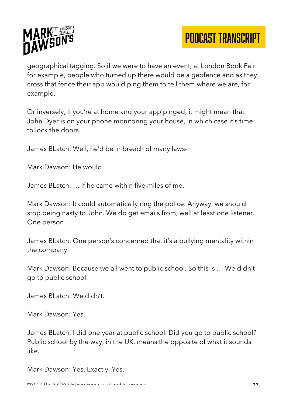

geographical tagging. So if we were to have an event, at London Book Fair for example, people who turned up there would be a geofence and as they cross that fence their app would ping them to tell them where we are, for example.

Or inversely, if you're at home and your app pinged, it might mean that John Dyer is on your phone monitoring your house, in which case it's time to lock the doors.

James BLatch: Well, he'd be in breach of many laws-

Mark Dawson: He would.

James BLatch: … if he came within five miles of me.

Mark Dawson: It could automatically ring the police. Anyway, we should stop being nasty to John. We do get emails from, well at least one listener. One person.

James BLatch: One person's concerned that it's a bullying mentality within the company.

Mark Dawson: Because we all went to public school. So this is … We didn't go to public school.

James BLatch: We didn't.

Mark Dawson: Yes.

James BLatch: I did one year at public school. Did you go to public school? Public school by the way, in the UK, means the opposite of what it sounds like.

Mark Dawson: Yes. Exactly. Yes.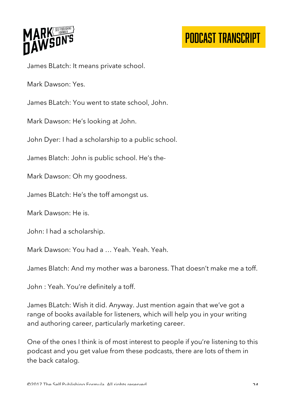

James BLatch: It means private school.

Mark Dawson: Yes.

James BLatch: You went to state school, John.

Mark Dawson: He's looking at John.

John Dyer: I had a scholarship to a public school.

James Blatch: John is public school. He's the-

Mark Dawson: Oh my goodness.

James BLatch: He's the toff amongst us.

Mark Dawson: He is.

John: I had a scholarship.

Mark Dawson: You had a … Yeah. Yeah. Yeah.

James Blatch: And my mother was a baroness. That doesn't make me a toff.

John : Yeah. You're definitely a toff.

James BLatch: Wish it did. Anyway. Just mention again that we've got a range of books available for listeners, which will help you in your writing and authoring career, particularly marketing career.

One of the ones I think is of most interest to people if you're listening to this podcast and you get value from these podcasts, there are lots of them in the back catalog.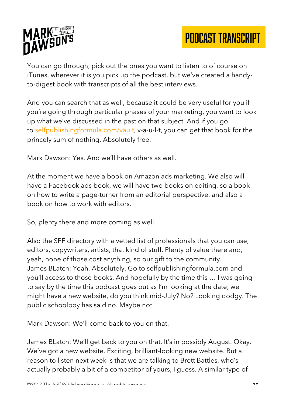

You can go through, pick out the ones you want to listen to of course on iTunes, wherever it is you pick up the podcast, but we've created a handyto-digest book with transcripts of all the best interviews.

And you can search that as well, because it could be very useful for you if you're going through particular phases of your marketing, you want to look up what we've discussed in the past on that subject. And if you go to selfpublishingformula.com/vault, v-a-u-l-t, you can get that book for the princely sum of nothing. Absolutely free.

Mark Dawson: Yes. And we'll have others as well.

At the moment we have a book on Amazon ads marketing. We also will have a Facebook ads book, we will have two books on editing, so a book on how to write a page-turner from an editorial perspective, and also a book on how to work with editors.

So, plenty there and more coming as well.

Also the SPF directory with a vetted list of professionals that you can use, editors, copywriters, artists, that kind of stuff. Plenty of value there and, yeah, none of those cost anything, so our gift to the community. James BLatch: Yeah. Absolutely. Go to selfpublishingformula.com and you'll access to those books. And hopefully by the time this … I was going to say by the time this podcast goes out as I'm looking at the date, we might have a new website, do you think mid-July? No? Looking dodgy. The public schoolboy has said no. Maybe not.

Mark Dawson: We'll come back to you on that.

James BLatch: We'll get back to you on that. It's in possibly August. Okay. We've got a new website. Exciting, brilliant-looking new website. But a reason to listen next week is that we are talking to Brett Battles, who's actually probably a bit of a competitor of yours, I guess. A similar type of-